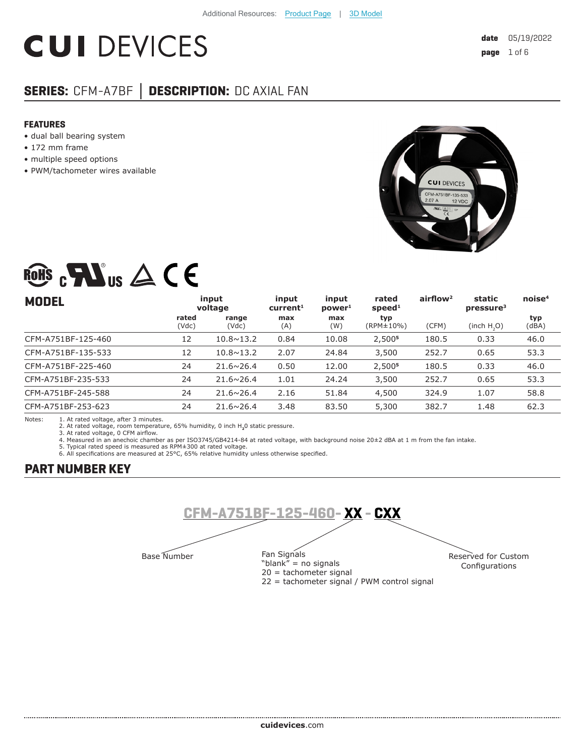# **CUI DEVICES**

# **SERIES:** CFM-A7BF **│ DESCRIPTION:** DC AXIAL FAN

#### **FEATURES**

- dual ball bearing system
- 172 mm frame
- multiple speed options
- PWM/tachometer wires available



# ROHS  $_{c}\mathbf{W}$ us  $\triangle$  CE

| <b>MODEL</b>       | input<br>voltage |                    | input<br>current <sup>1</sup> | input<br>power <sup>1</sup> | rated<br>speed <sup>1</sup> | airflow <sup>2</sup> | static<br>pressure <sup>3</sup> | noise <sup>4</sup> |
|--------------------|------------------|--------------------|-------------------------------|-----------------------------|-----------------------------|----------------------|---------------------------------|--------------------|
|                    | rated<br>(Vdc)   | range<br>(Vdc)     | max<br>(A)                    | max<br>(W)                  | typ<br>(RPM±10%)            | (CFM)                | (inch H, O)                     | typ<br>(dBA)       |
| CFM-A751BF-125-460 | 12               | $10.8 \times 13.2$ | 0.84                          | 10.08                       | 2,500 <sup>5</sup>          | 180.5                | 0.33                            | 46.0               |
| CFM-A751BF-135-533 | 12               | $10.8 \times 13.2$ | 2.07                          | 24.84                       | 3,500                       | 252.7                | 0.65                            | 53.3               |
| CFM-A751BF-225-460 | 24               | $21.6 \times 26.4$ | 0.50                          | 12.00                       | 2,500 <sup>5</sup>          | 180.5                | 0.33                            | 46.0               |
| CFM-A751BF-235-533 | 24               | $21.6 \times 26.4$ | 1.01                          | 24.24                       | 3,500                       | 252.7                | 0.65                            | 53.3               |
| CFM-A751BF-245-588 | 24               | $21.6 \times 26.4$ | 2.16                          | 51.84                       | 4,500                       | 324.9                | 1.07                            | 58.8               |
| CFM-A751BF-253-623 | 24               | $21.6 \times 26.4$ | 3.48                          | 83.50                       | 5,300                       | 382.7                | 1.48                            | 62.3               |

Notes: 1. At rated voltage, after 3 minutes. 2. At rated voltage, room temperature, 65% humidity, 0 inch H**2**0 static pressure.

3. At rated voltage, 0 CFM airflow.

4. Measured in an anechoic chamber as per ISO3745/GB4214-84 at rated voltage, with background noise 20±2 dBA at 1 m from the fan intake. 5. Typical rated speed is measured as RPM±300 at rated voltage.

6. All specifications are measured at 25°C, 65% relative humidity unless otherwise specified.

# **PART NUMBER KEY**



22 = tachometer signal / PWM control signal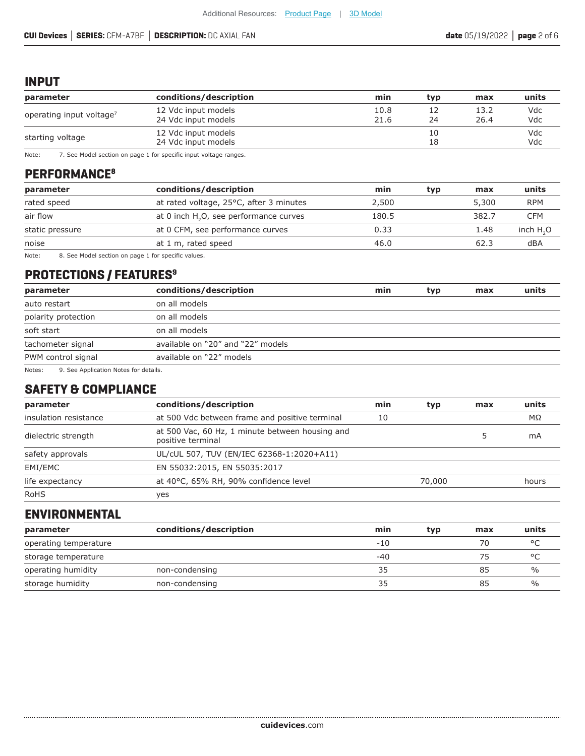### **INPUT**

| parameter                            | conditions/description                     | min          | typ      | max          | units      |
|--------------------------------------|--------------------------------------------|--------------|----------|--------------|------------|
| operating input voltage <sup>7</sup> | 12 Vdc input models<br>24 Vdc input models | 10.8<br>21.6 | 24       | 13.2<br>26.4 | Vdc<br>Vdc |
| starting voltage                     | 12 Vdc input models<br>24 Vdc input models |              | 10<br>18 |              | Vdc<br>Vdc |

Note: 7. See Model section on page 1 for specific input voltage ranges.

# **PERFORMANCE8**

| parameter       | conditions/description                    | min   | typ | max   | units      |
|-----------------|-------------------------------------------|-------|-----|-------|------------|
| rated speed     | at rated voltage, 25°C, after 3 minutes   | 2,500 |     | 5,300 | <b>RPM</b> |
| air flow        | at 0 inch $H2O2$ , see performance curves | 180.5 |     | 382.7 | CFM        |
| static pressure | at 0 CFM, see performance curves          | 0.33  |     | 1.48  | inch $H2O$ |
| noise           | at 1 m, rated speed                       | 46.0  |     | 62.3  | dBA        |
|                 |                                           |       |     |       |            |

Note: 8. See Model section on page 1 for specific values.

# **PROTECTIONS / FEATURES9**

| parameter           | conditions/description            | min | typ | max | units |
|---------------------|-----------------------------------|-----|-----|-----|-------|
| auto restart        | on all models                     |     |     |     |       |
| polarity protection | on all models                     |     |     |     |       |
| soft start          | on all models                     |     |     |     |       |
| tachometer signal   | available on "20" and "22" models |     |     |     |       |
| PWM control signal  | available on "22" models          |     |     |     |       |
|                     |                                   |     |     |     |       |

Notes: 9. See Application Notes for details.

# **SAFETY & COMPLIANCE**

| parameter             | conditions/description                                               | min | typ    | max | units |
|-----------------------|----------------------------------------------------------------------|-----|--------|-----|-------|
| insulation resistance | at 500 Vdc between frame and positive terminal                       | 10  |        |     | MΩ    |
| dielectric strength   | at 500 Vac, 60 Hz, 1 minute between housing and<br>positive terminal |     |        |     | mA    |
| safety approvals      | UL/cUL 507, TUV (EN/IEC 62368-1:2020+A11)                            |     |        |     |       |
| EMI/EMC               | EN 55032:2015, EN 55035:2017                                         |     |        |     |       |
| life expectancy       | at 40°C, 65% RH, 90% confidence level                                |     | 70,000 |     | hours |
| <b>RoHS</b>           | yes                                                                  |     |        |     |       |

## **ENVIRONMENTAL**

| parameter             | conditions/description | min   | typ | max | units         |
|-----------------------|------------------------|-------|-----|-----|---------------|
| operating temperature |                        | $-10$ |     | 70  | $\circ$       |
| storage temperature   |                        | $-40$ |     | 75  | $\circ$       |
| operating humidity    | non-condensing         | 35    |     | 85  | %             |
| storage humidity      | non-condensing         | 35    |     | 85  | $\frac{0}{0}$ |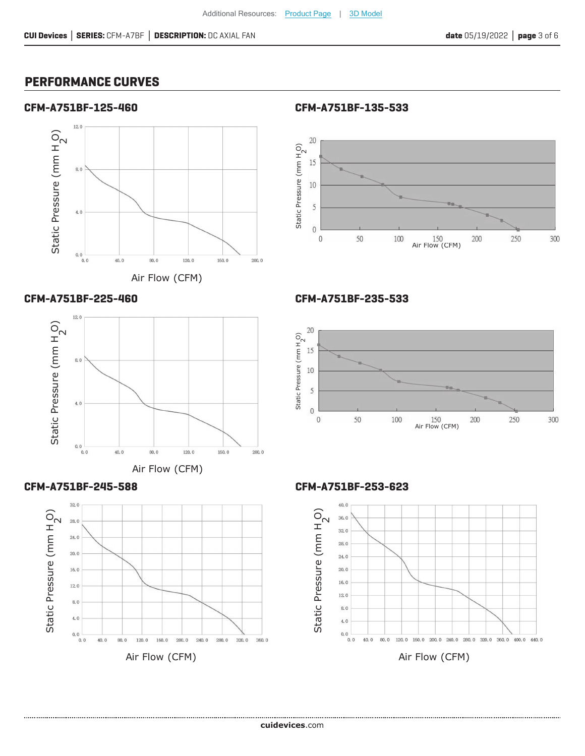# **PERFORMANCE CURVES**

#### **CFM-A751BF-125-460**



Air Flow (CFM)









**CFM-A751BF-135-533**



#### **CFM-A751BF-235-533**



**CFM-A751BF-253-623**



Air Flow (CFM)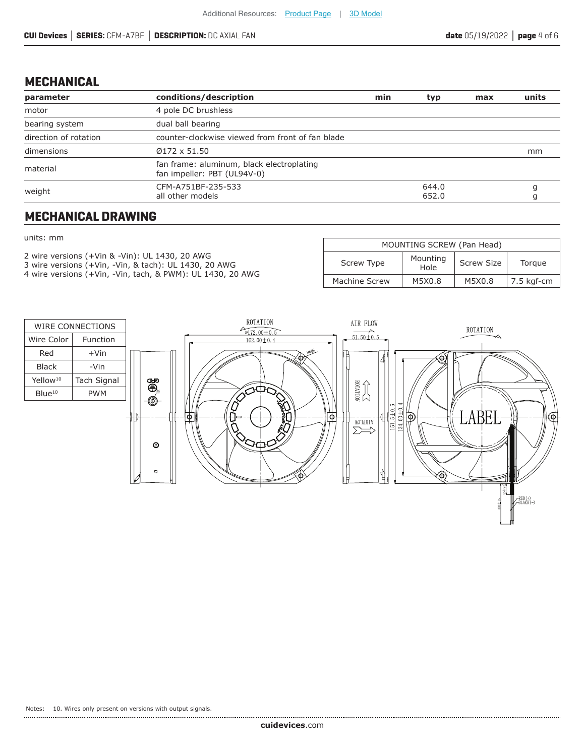# **MECHANICAL**

| parameter             | conditions/description                                                   | min | typ            | max | units |
|-----------------------|--------------------------------------------------------------------------|-----|----------------|-----|-------|
| motor                 | 4 pole DC brushless                                                      |     |                |     |       |
| bearing system        | dual ball bearing                                                        |     |                |     |       |
| direction of rotation | counter-clockwise viewed from front of fan blade                         |     |                |     |       |
| dimensions            | $Ø172 \times 51.50$                                                      |     |                |     | mm    |
| material              | fan frame: aluminum, black electroplating<br>fan impeller: PBT (UL94V-0) |     |                |     |       |
| weight                | CFM-A751BF-235-533<br>all other models                                   |     | 644.0<br>652.0 |     |       |

# **MECHANICAL DRAWING**

#### units: mm

- 2 wire versions (+Vin & -Vin): UL 1430, 20 AWG
- 3 wire versions (+Vin, -Vin, & tach): UL 1430, 20 AWG 4 wire versions (+Vin, -Vin, tach, & PWM): UL 1430, 20 AWG
- 

| MOUNTING SCREW (Pan Head)                                     |        |        |            |  |  |  |  |
|---------------------------------------------------------------|--------|--------|------------|--|--|--|--|
| Mounting<br>Screw Type<br><b>Screw Size</b><br>Torgue<br>Hole |        |        |            |  |  |  |  |
| Machine Screw                                                 | M5X0.8 | M5X0.8 | 7.5 kgf-cm |  |  |  |  |

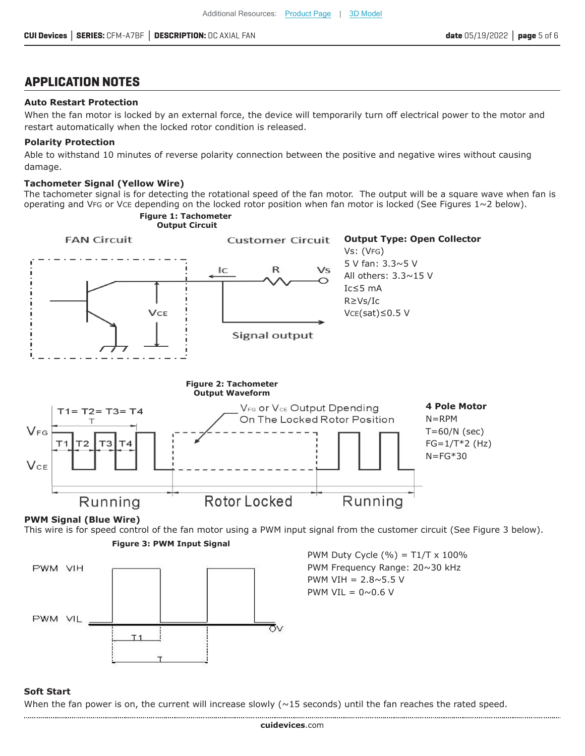# **APPLICATION NOTES**

#### **Auto Restart Protection**

When the fan motor is locked by an external force, the device will temporarily turn off electrical power to the motor and restart automatically when the locked rotor condition is released.

#### **Polarity Protection**

Able to withstand 10 minutes of reverse polarity connection between the positive and negative wires without causing damage.

#### **Tachometer Signal (Yellow Wire)**

The tachometer signal is for detecting the rotational speed of the fan motor. The output will be a square wave when fan is operating and VFG or VCE depending on the locked rotor position when fan motor is locked (See Figures  $1~2$  below).



#### **Soft Start**

When the fan power is on, the current will increase slowly  $(\sim 15$  seconds) until the fan reaches the rated speed.